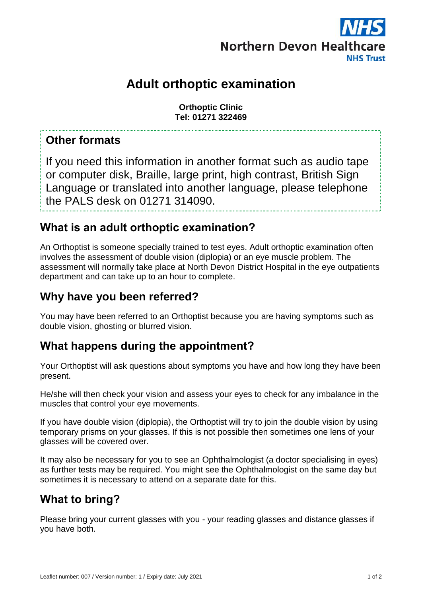

# **Adult orthoptic examination**

**Orthoptic Clinic Tel: 01271 322469**

### **Other formats**

If you need this information in another format such as audio tape or computer disk, Braille, large print, high contrast, British Sign Language or translated into another language, please telephone the PALS desk on 01271 314090.

## **What is an adult orthoptic examination?**

An Orthoptist is someone specially trained to test eyes. Adult orthoptic examination often involves the assessment of double vision (diplopia) or an eye muscle problem. The assessment will normally take place at North Devon District Hospital in the eye outpatients department and can take up to an hour to complete.

### **Why have you been referred?**

You may have been referred to an Orthoptist because you are having symptoms such as double vision, ghosting or blurred vision.

# **What happens during the appointment?**

Your Orthoptist will ask questions about symptoms you have and how long they have been present.

He/she will then check your vision and assess your eyes to check for any imbalance in the muscles that control your eye movements.

If you have double vision (diplopia), the Orthoptist will try to join the double vision by using temporary prisms on your glasses. If this is not possible then sometimes one lens of your glasses will be covered over.

It may also be necessary for you to see an Ophthalmologist (a doctor specialising in eyes) as further tests may be required. You might see the Ophthalmologist on the same day but sometimes it is necessary to attend on a separate date for this.

# **What to bring?**

Please bring your current glasses with you - your reading glasses and distance glasses if you have both.